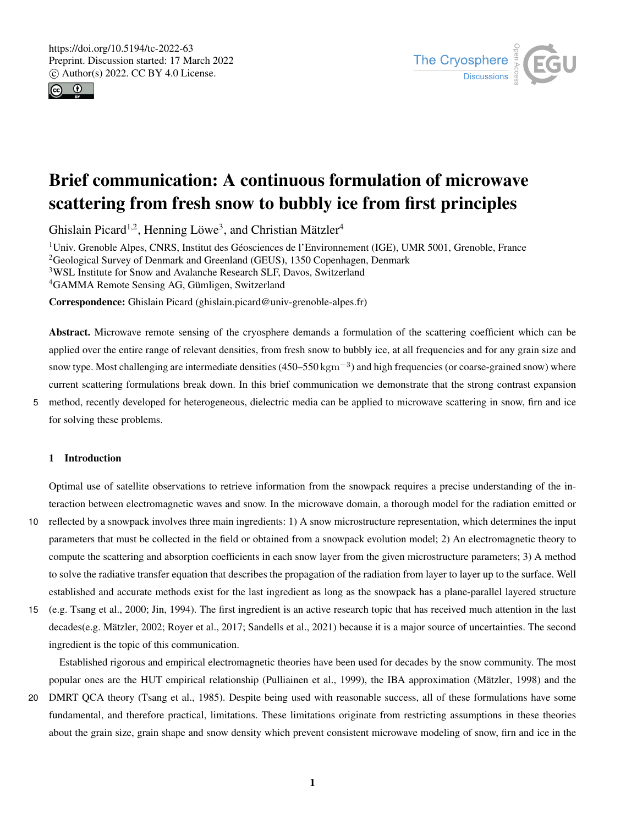



# Brief communication: A continuous formulation of microwave scattering from fresh snow to bubbly ice from first principles

Ghislain Picard<sup>1,2</sup>, Henning Löwe<sup>3</sup>, and Christian Mätzler<sup>4</sup>

Univ. Grenoble Alpes, CNRS, Institut des Géosciences de l'Environnement (IGE), UMR 5001, Grenoble, France <sup>2</sup>Geological Survey of Denmark and Greenland (GEUS), 1350 Copenhagen, Denmark WSL Institute for Snow and Avalanche Research SLF, Davos, Switzerland GAMMA Remote Sensing AG, Gümligen, Switzerland

Correspondence: Ghislain Picard (ghislain.picard@univ-grenoble-alpes.fr)

Abstract. Microwave remote sensing of the cryosphere demands a formulation of the scattering coefficient which can be applied over the entire range of relevant densities, from fresh snow to bubbly ice, at all frequencies and for any grain size and snow type. Most challenging are intermediate densities (450–550 kgm<sup>-3</sup>) and high frequencies (or coarse-grained snow) where current scattering formulations break down. In this brief communication we demonstrate that the strong contrast expansion

5 method, recently developed for heterogeneous, dielectric media can be applied to microwave scattering in snow, firn and ice for solving these problems.

# 1 Introduction

Optimal use of satellite observations to retrieve information from the snowpack requires a precise understanding of the interaction between electromagnetic waves and snow. In the microwave domain, a thorough model for the radiation emitted or

- 10 reflected by a snowpack involves three main ingredients: 1) A snow microstructure representation, which determines the input parameters that must be collected in the field or obtained from a snowpack evolution model; 2) An electromagnetic theory to compute the scattering and absorption coefficients in each snow layer from the given microstructure parameters; 3) A method to solve the radiative transfer equation that describes the propagation of the radiation from layer to layer up to the surface. Well established and accurate methods exist for the last ingredient as long as the snowpack has a plane-parallel layered structure
- 15 (e.g. Tsang et al., 2000; Jin, 1994). The first ingredient is an active research topic that has received much attention in the last decades(e.g. Mätzler, 2002; Royer et al., 2017; Sandells et al., 2021) because it is a major source of uncertainties. The second ingredient is the topic of this communication.

Established rigorous and empirical electromagnetic theories have been used for decades by the snow community. The most popular ones are the HUT empirical relationship (Pulliainen et al., 1999), the IBA approximation (Mätzler, 1998) and the

20 DMRT QCA theory (Tsang et al., 1985). Despite being used with reasonable success, all of these formulations have some fundamental, and therefore practical, limitations. These limitations originate from restricting assumptions in these theories about the grain size, grain shape and snow density which prevent consistent microwave modeling of snow, firn and ice in the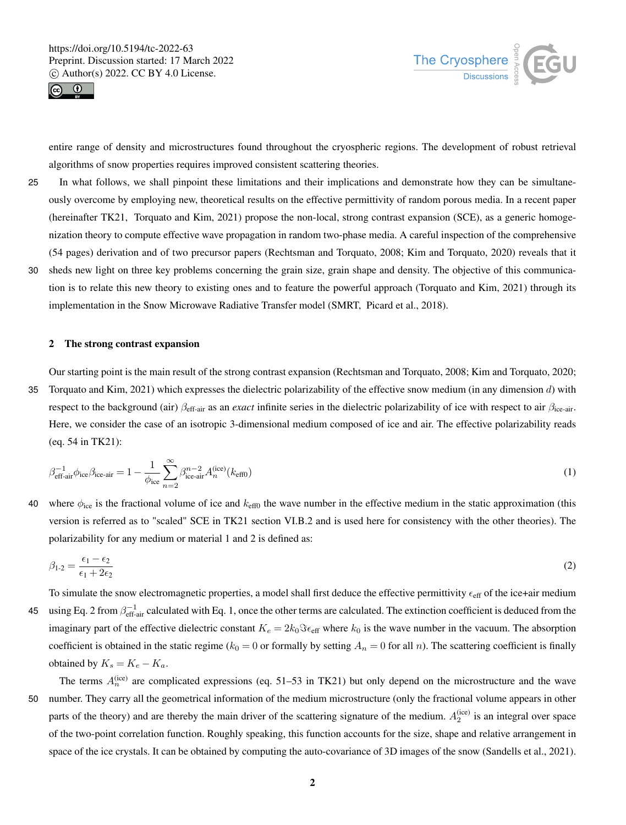



entire range of density and microstructures found throughout the cryospheric regions. The development of robust retrieval algorithms of snow properties requires improved consistent scattering theories.

- 25 In what follows, we shall pinpoint these limitations and their implications and demonstrate how they can be simultaneously overcome by employing new, theoretical results on the effective permittivity of random porous media. In a recent paper (hereinafter TK21, Torquato and Kim, 2021) propose the non-local, strong contrast expansion (SCE), as a generic homogenization theory to compute effective wave propagation in random two-phase media. A careful inspection of the comprehensive (54 pages) derivation and of two precursor papers (Rechtsman and Torquato, 2008; Kim and Torquato, 2020) reveals that it
- 30 sheds new light on three key problems concerning the grain size, grain shape and density. The objective of this communication is to relate this new theory to existing ones and to feature the powerful approach (Torquato and Kim, 2021) through its implementation in the Snow Microwave Radiative Transfer model (SMRT, Picard et al., 2018).

#### 2 The strong contrast expansion

Our starting point is the main result of the strong contrast expansion (Rechtsman and Torquato, 2008; Kim and Torquato, 2020; 35 Torquato and Kim, 2021) which expresses the dielectric polarizability of the effective snow medium (in any dimension  $d$ ) with respect to the background (air) βeff-air as an *exact* infinite series in the dielectric polarizability of ice with respect to air βice-air. Here, we consider the case of an isotropic 3-dimensional medium composed of ice and air. The effective polarizability reads (eq. 54 in TK21):

$$
\beta_{\text{eff-air}}^{-1} \phi_{\text{ice}} \beta_{\text{ice-air}} = 1 - \frac{1}{\phi_{\text{ice}}} \sum_{n=2}^{\infty} \beta_{\text{ice-air}}^{n-2} A_n^{\text{(ice)}}(k_{\text{eff0}}) \tag{1}
$$

40 where  $\phi_{\text{ice}}$  is the fractional volume of ice and  $k_{\text{eff0}}$  the wave number in the effective medium in the static approximation (this version is referred as to "scaled" SCE in TK21 section VI.B.2 and is used here for consistency with the other theories). The polarizability for any medium or material 1 and 2 is defined as:

$$
\beta_{1\text{-}2} = \frac{\epsilon_1 - \epsilon_2}{\epsilon_1 + 2\epsilon_2} \tag{2}
$$

To simulate the snow electromagnetic properties, a model shall first deduce the effective permittivity  $\epsilon_{eff}$  of the ice+air medium 45 using Eq. 2 from  $\beta_{\text{eff-air}}^{-1}$  calculated with Eq. 1, once the other terms are calculated. The extinction coefficient is deduced from the imaginary part of the effective dielectric constant  $K_e = 2k_0 \Im \epsilon_{\text{eff}}$  where  $k_0$  is the wave number in the vacuum. The absorption coefficient is obtained in the static regime ( $k_0 = 0$  or formally by setting  $A_n = 0$  for all n). The scattering coefficient is finally obtained by  $K_s = K_e - K_a$ .

The terms  $A_n^{(ice)}$  are complicated expressions (eq. 51–53 in TK21) but only depend on the microstructure and the wave 50 number. They carry all the geometrical information of the medium microstructure (only the fractional volume appears in other parts of the theory) and are thereby the main driver of the scattering signature of the medium.  $A_2^{(ice)}$  is an integral over space of the two-point correlation function. Roughly speaking, this function accounts for the size, shape and relative arrangement in space of the ice crystals. It can be obtained by computing the auto-covariance of 3D images of the snow (Sandells et al., 2021).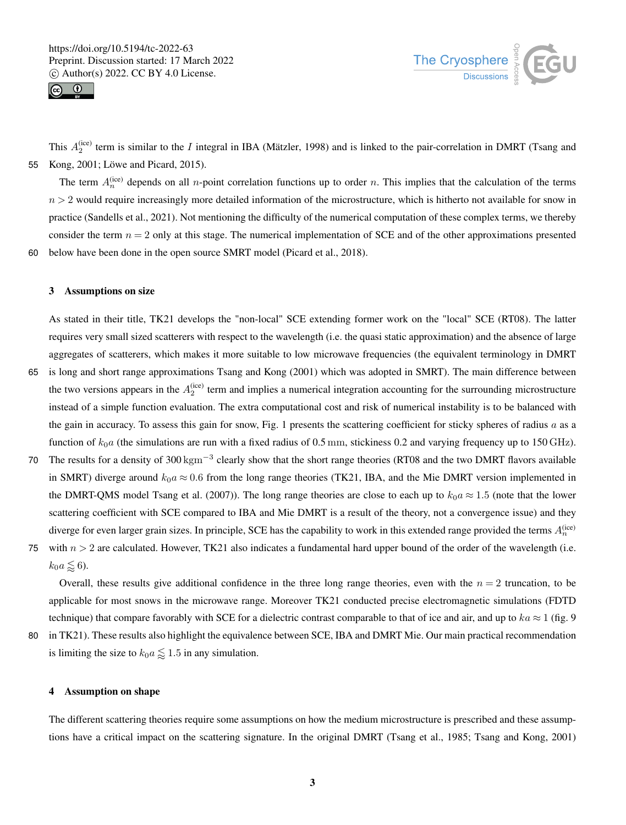



This  $A_2^{(ice)}$  term is similar to the I integral in IBA (Mätzler, 1998) and is linked to the pair-correlation in DMRT (Tsang and 55 Kong, 2001; Löwe and Picard, 2015).

The term  $A_n^{(ice)}$  depends on all *n*-point correlation functions up to order *n*. This implies that the calculation of the terms  $n > 2$  would require increasingly more detailed information of the microstructure, which is hitherto not available for snow in practice (Sandells et al., 2021). Not mentioning the difficulty of the numerical computation of these complex terms, we thereby consider the term  $n = 2$  only at this stage. The numerical implementation of SCE and of the other approximations presented 60 below have been done in the open source SMRT model (Picard et al., 2018).

3 Assumptions on size

As stated in their title, TK21 develops the "non-local" SCE extending former work on the "local" SCE (RT08). The latter requires very small sized scatterers with respect to the wavelength (i.e. the quasi static approximation) and the absence of large aggregates of scatterers, which makes it more suitable to low microwave frequencies (the equivalent terminology in DMRT

- 65 is long and short range approximations Tsang and Kong (2001) which was adopted in SMRT). The main difference between the two versions appears in the  $A_2^{(ice)}$  term and implies a numerical integration accounting for the surrounding microstructure instead of a simple function evaluation. The extra computational cost and risk of numerical instability is to be balanced with the gain in accuracy. To assess this gain for snow, Fig. 1 presents the scattering coefficient for sticky spheres of radius a as a function of  $k_0a$  (the simulations are run with a fixed radius of 0.5 mm, stickiness 0.2 and varying frequency up to 150 GHz).
- 70 The results for a density of 300 kgm<sup>-3</sup> clearly show that the short range theories (RT08 and the two DMRT flavors available in SMRT) diverge around  $k_0a \approx 0.6$  from the long range theories (TK21, IBA, and the Mie DMRT version implemented in the DMRT-QMS model Tsang et al. (2007)). The long range theories are close to each up to  $k_0 a \approx 1.5$  (note that the lower scattering coefficient with SCE compared to IBA and Mie DMRT is a result of the theory, not a convergence issue) and they diverge for even larger grain sizes. In principle, SCE has the capability to work in this extended range provided the terms  $A_n^{(ice)}$
- 75 with  $n > 2$  are calculated. However, TK21 also indicates a fundamental hard upper bound of the order of the wavelength (i.e.  $k_0 a \lessapprox 6$ .

Overall, these results give additional confidence in the three long range theories, even with the  $n = 2$  truncation, to be applicable for most snows in the microwave range. Moreover TK21 conducted precise electromagnetic simulations (FDTD technique) that compare favorably with SCE for a dielectric contrast comparable to that of ice and air, and up to  $ka \approx 1$  (fig. 9)

80 in TK21). These results also highlight the equivalence between SCE, IBA and DMRT Mie. Our main practical recommendation is limiting the size to  $k_0 a \leq 1.5$  in any simulation.

# 4 Assumption on shape

The different scattering theories require some assumptions on how the medium microstructure is prescribed and these assumptions have a critical impact on the scattering signature. In the original DMRT (Tsang et al., 1985; Tsang and Kong, 2001)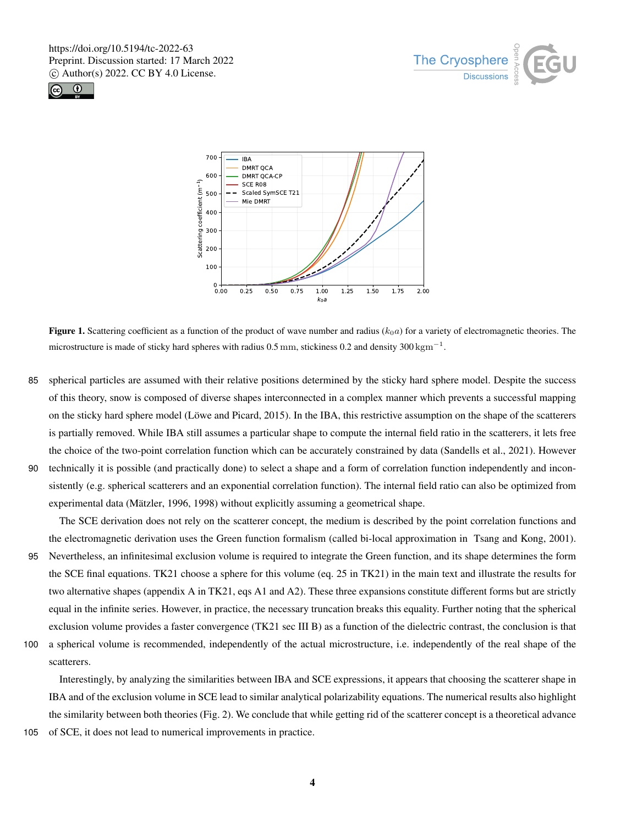





**Figure 1.** Scattering coefficient as a function of the product of wave number and radius ( $k_0a$ ) for a variety of electromagnetic theories. The microstructure is made of sticky hard spheres with radius 0.5 mm, stickiness 0.2 and density 300 kgm<sup>-1</sup>.

- 85 spherical particles are assumed with their relative positions determined by the sticky hard sphere model. Despite the success of this theory, snow is composed of diverse shapes interconnected in a complex manner which prevents a successful mapping on the sticky hard sphere model (Löwe and Picard, 2015). In the IBA, this restrictive assumption on the shape of the scatterers is partially removed. While IBA still assumes a particular shape to compute the internal field ratio in the scatterers, it lets free the choice of the two-point correlation function which can be accurately constrained by data (Sandells et al., 2021). However
- 90 technically it is possible (and practically done) to select a shape and a form of correlation function independently and inconsistently (e.g. spherical scatterers and an exponential correlation function). The internal field ratio can also be optimized from experimental data (Mätzler, 1996, 1998) without explicitly assuming a geometrical shape.

The SCE derivation does not rely on the scatterer concept, the medium is described by the point correlation functions and the electromagnetic derivation uses the Green function formalism (called bi-local approximation in Tsang and Kong, 2001).

- 95 Nevertheless, an infinitesimal exclusion volume is required to integrate the Green function, and its shape determines the form the SCE final equations. TK21 choose a sphere for this volume (eq. 25 in TK21) in the main text and illustrate the results for two alternative shapes (appendix A in TK21, eqs A1 and A2). These three expansions constitute different forms but are strictly equal in the infinite series. However, in practice, the necessary truncation breaks this equality. Further noting that the spherical exclusion volume provides a faster convergence (TK21 sec III B) as a function of the dielectric contrast, the conclusion is that
- 100 a spherical volume is recommended, independently of the actual microstructure, i.e. independently of the real shape of the scatterers.

Interestingly, by analyzing the similarities between IBA and SCE expressions, it appears that choosing the scatterer shape in IBA and of the exclusion volume in SCE lead to similar analytical polarizability equations. The numerical results also highlight the similarity between both theories (Fig. 2). We conclude that while getting rid of the scatterer concept is a theoretical advance

105 of SCE, it does not lead to numerical improvements in practice.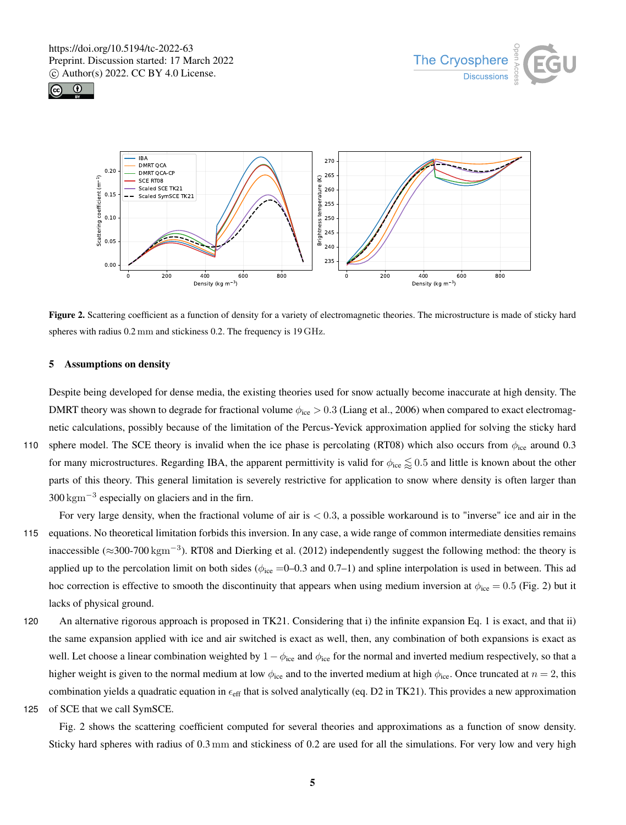





Figure 2. Scattering coefficient as a function of density for a variety of electromagnetic theories. The microstructure is made of sticky hard spheres with radius 0.2 mm and stickiness 0.2. The frequency is 19 GHz.

### 5 Assumptions on density

Despite being developed for dense media, the existing theories used for snow actually become inaccurate at high density. The DMRT theory was shown to degrade for fractional volume  $\phi_{\text{ice}} > 0.3$  (Liang et al., 2006) when compared to exact electromagnetic calculations, possibly because of the limitation of the Percus-Yevick approximation applied for solving the sticky hard 110 sphere model. The SCE theory is invalid when the ice phase is percolating (RT08) which also occurs from  $\phi_{\text{ice}}$  around 0.3 for many microstructures. Regarding IBA, the apparent permittivity is valid for  $\phi_{\text{ice}} \lessapprox 0.5$  and little is known about the other parts of this theory. This general limitation is severely restrictive for application to snow where density is often larger than  $300 \text{ kgm}^{-3}$  especially on glaciers and in the firn.

For very large density, when the fractional volume of air is  $< 0.3$ , a possible workaround is to "inverse" ice and air in the 115 equations. No theoretical limitation forbids this inversion. In any case, a wide range of common intermediate densities remains inaccessible ( $\approx$ 300-700 kgm<sup>-3</sup>). RT08 and Dierking et al. (2012) independently suggest the following method: the theory is applied up to the percolation limit on both sides ( $\phi_{\text{ice}} = 0$ –0.3 and 0.7–1) and spline interpolation is used in between. This ad hoc correction is effective to smooth the discontinuity that appears when using medium inversion at  $\phi_{\text{ice}} = 0.5$  (Fig. 2) but it lacks of physical ground.

120 An alternative rigorous approach is proposed in TK21. Considering that i) the infinite expansion Eq. 1 is exact, and that ii) the same expansion applied with ice and air switched is exact as well, then, any combination of both expansions is exact as well. Let choose a linear combination weighted by  $1 - \phi_{\text{ice}}$  and  $\phi_{\text{ice}}$  for the normal and inverted medium respectively, so that a higher weight is given to the normal medium at low  $\phi_{\text{ice}}$  and to the inverted medium at high  $\phi_{\text{ice}}$ . Once truncated at  $n = 2$ , this combination yields a quadratic equation in  $\epsilon_{\text{eff}}$  that is solved analytically (eq. D2 in TK21). This provides a new approximation 125 of SCE that we call SymSCE.

Fig. 2 shows the scattering coefficient computed for several theories and approximations as a function of snow density. Sticky hard spheres with radius of 0.3 mm and stickiness of 0.2 are used for all the simulations. For very low and very high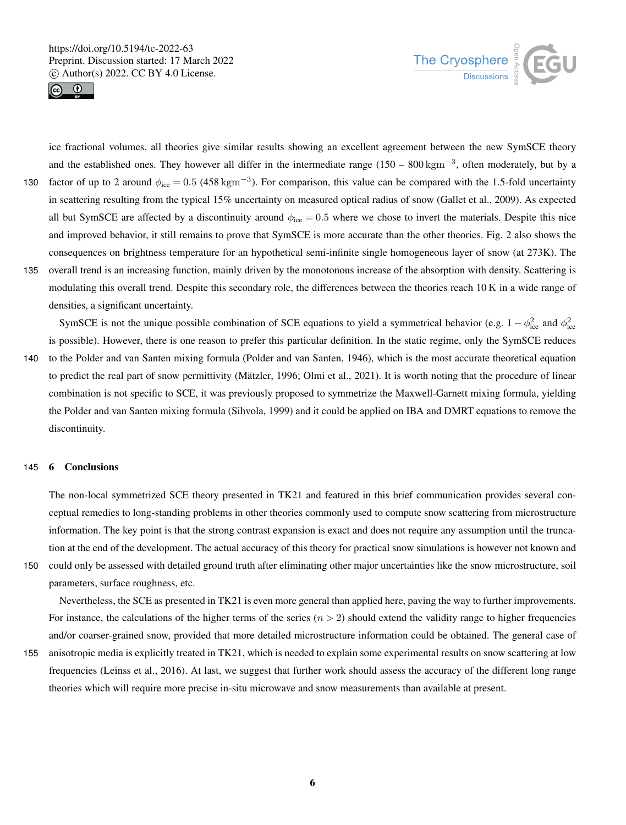



ice fractional volumes, all theories give similar results showing an excellent agreement between the new SymSCE theory and the established ones. They however all differ in the intermediate range  $(150 - 800 \text{ kgm}^{-3})$ , often moderately, but by a

- factor of up to 2 around  $\phi_{\text{ice}} = 0.5 \ (458 \text{ kgm}^{-3})$ . For comparison, this value can be compared with the 1.5-fold uncertainty in scattering resulting from the typical 15% uncertainty on measured optical radius of snow (Gallet et al., 2009). As expected all but SymSCE are affected by a discontinuity around  $\phi_{\text{ice}} = 0.5$  where we chose to invert the materials. Despite this nice and improved behavior, it still remains to prove that SymSCE is more accurate than the other theories. Fig. 2 also shows the consequences on brightness temperature for an hypothetical semi-infinite single homogeneous layer of snow (at 273K). The
- 135 overall trend is an increasing function, mainly driven by the monotonous increase of the absorption with density. Scattering is modulating this overall trend. Despite this secondary role, the differences between the theories reach 10 K in a wide range of densities, a significant uncertainty.

SymSCE is not the unique possible combination of SCE equations to yield a symmetrical behavior (e.g.  $1 - \phi_{\text{ice}}^2$  and  $\phi_{\text{ice}}^2$ is possible). However, there is one reason to prefer this particular definition. In the static regime, only the SymSCE reduces

140 to the Polder and van Santen mixing formula (Polder and van Santen, 1946), which is the most accurate theoretical equation to predict the real part of snow permittivity (Mätzler, 1996; Olmi et al., 2021). It is worth noting that the procedure of linear combination is not specific to SCE, it was previously proposed to symmetrize the Maxwell-Garnett mixing formula, yielding the Polder and van Santen mixing formula (Sihvola, 1999) and it could be applied on IBA and DMRT equations to remove the discontinuity.

### 145 6 Conclusions

The non-local symmetrized SCE theory presented in TK21 and featured in this brief communication provides several conceptual remedies to long-standing problems in other theories commonly used to compute snow scattering from microstructure information. The key point is that the strong contrast expansion is exact and does not require any assumption until the truncation at the end of the development. The actual accuracy of this theory for practical snow simulations is however not known and 150 could only be assessed with detailed ground truth after eliminating other major uncertainties like the snow microstructure, soil

parameters, surface roughness, etc.

Nevertheless, the SCE as presented in TK21 is even more general than applied here, paving the way to further improvements. For instance, the calculations of the higher terms of the series  $(n > 2)$  should extend the validity range to higher frequencies and/or coarser-grained snow, provided that more detailed microstructure information could be obtained. The general case of

155 anisotropic media is explicitly treated in TK21, which is needed to explain some experimental results on snow scattering at low frequencies (Leinss et al., 2016). At last, we suggest that further work should assess the accuracy of the different long range theories which will require more precise in-situ microwave and snow measurements than available at present.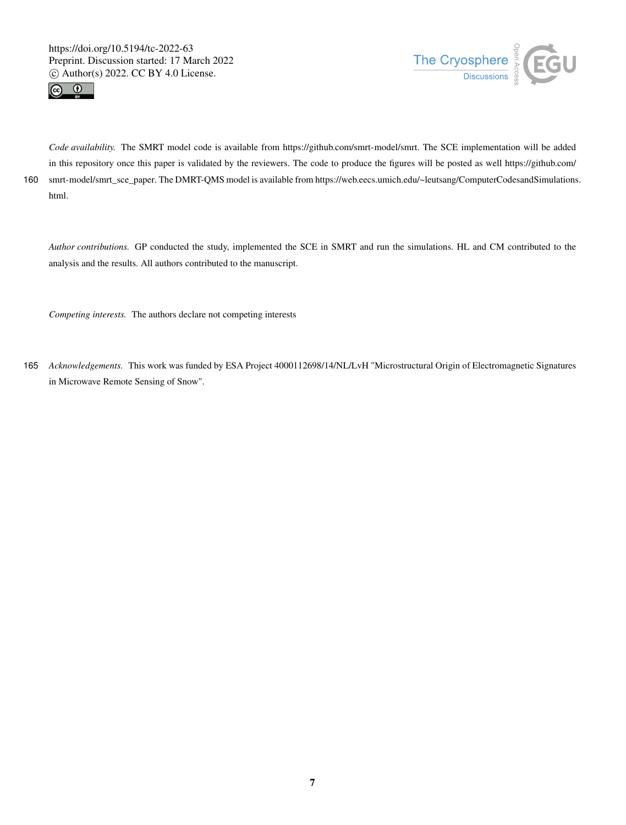



*Code availability.* The SMRT model code is available from https://github.com/smrt-model/smrt. The SCE implementation will be added in this repository once this paper is validated by the reviewers. The code to produce the figures will be posted as well https://github.com/ 160 smrt-model/smrt\_sce\_paper. The DMRT-QMS model is available from https://web.eecs.umich.edu/~leutsang/ComputerCodesandSimulations. html.

*Author contributions.* GP conducted the study, implemented the SCE in SMRT and run the simulations. HL and CM contributed to the analysis and the results. All authors contributed to the manuscript.

*Competing interests.* The authors declare not competing interests

165 *Acknowledgements.* This work was funded by ESA Project 4000112698/14/NL/LvH "Microstructural Origin of Electromagnetic Signatures in Microwave Remote Sensing of Snow".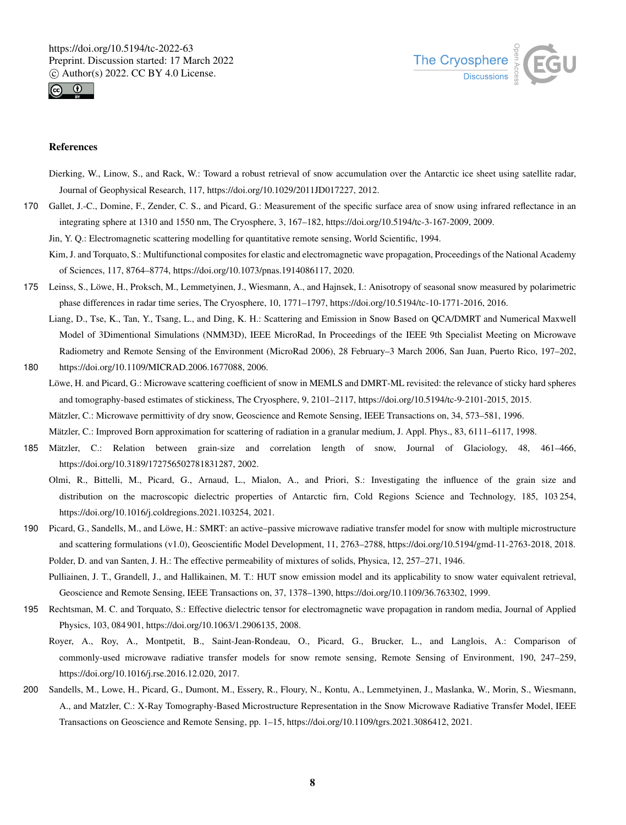



## References

- Dierking, W., Linow, S., and Rack, W.: Toward a robust retrieval of snow accumulation over the Antarctic ice sheet using satellite radar, Journal of Geophysical Research, 117, https://doi.org/10.1029/2011JD017227, 2012.
- 170 Gallet, J.-C., Domine, F., Zender, C. S., and Picard, G.: Measurement of the specific surface area of snow using infrared reflectance in an integrating sphere at 1310 and 1550 nm, The Cryosphere, 3, 167–182, https://doi.org/10.5194/tc-3-167-2009, 2009.
	- Jin, Y. Q.: Electromagnetic scattering modelling for quantitative remote sensing, World Scientific, 1994.
	- Kim, J. and Torquato, S.: Multifunctional composites for elastic and electromagnetic wave propagation, Proceedings of the National Academy of Sciences, 117, 8764–8774, https://doi.org/10.1073/pnas.1914086117, 2020.
- 175 Leinss, S., Löwe, H., Proksch, M., Lemmetyinen, J., Wiesmann, A., and Hajnsek, I.: Anisotropy of seasonal snow measured by polarimetric phase differences in radar time series, The Cryosphere, 10, 1771–1797, https://doi.org/10.5194/tc-10-1771-2016, 2016.
- Liang, D., Tse, K., Tan, Y., Tsang, L., and Ding, K. H.: Scattering and Emission in Snow Based on QCA/DMRT and Numerical Maxwell Model of 3Dimentional Simulations (NMM3D), IEEE MicroRad, In Proceedings of the IEEE 9th Specialist Meeting on Microwave Radiometry and Remote Sensing of the Environment (MicroRad 2006), 28 February–3 March 2006, San Juan, Puerto Rico, 197–202, 180 https://doi.org/10.1109/MICRAD.2006.1677088, 2006.
- Löwe, H. and Picard, G.: Microwave scattering coefficient of snow in MEMLS and DMRT-ML revisited: the relevance of sticky hard spheres and tomography-based estimates of stickiness, The Cryosphere, 9, 2101–2117, https://doi.org/10.5194/tc-9-2101-2015, 2015. Mätzler, C.: Microwave permittivity of dry snow, Geoscience and Remote Sensing, IEEE Transactions on, 34, 573–581, 1996. Mätzler, C.: Improved Born approximation for scattering of radiation in a granular medium, J. Appl. Phys., 83, 6111–6117, 1998.
- 185 Mätzler, C.: Relation between grain-size and correlation length of snow, Journal of Glaciology, 48, 461–466, https://doi.org/10.3189/172756502781831287, 2002.

Olmi, R., Bittelli, M., Picard, G., Arnaud, L., Mialon, A., and Priori, S.: Investigating the influence of the grain size and distribution on the macroscopic dielectric properties of Antarctic firn, Cold Regions Science and Technology, 185, 103 254, https://doi.org/10.1016/j.coldregions.2021.103254, 2021.

190 Picard, G., Sandells, M., and Löwe, H.: SMRT: an active–passive microwave radiative transfer model for snow with multiple microstructure and scattering formulations (v1.0), Geoscientific Model Development, 11, 2763–2788, https://doi.org/10.5194/gmd-11-2763-2018, 2018. Polder, D. and van Santen, J. H.: The effective permeability of mixtures of solids, Physica, 12, 257–271, 1946.

Pulliainen, J. T., Grandell, J., and Hallikainen, M. T.: HUT snow emission model and its applicability to snow water equivalent retrieval, Geoscience and Remote Sensing, IEEE Transactions on, 37, 1378–1390, https://doi.org/10.1109/36.763302, 1999.

- 195 Rechtsman, M. C. and Torquato, S.: Effective dielectric tensor for electromagnetic wave propagation in random media, Journal of Applied Physics, 103, 084 901, https://doi.org/10.1063/1.2906135, 2008.
	- Royer, A., Roy, A., Montpetit, B., Saint-Jean-Rondeau, O., Picard, G., Brucker, L., and Langlois, A.: Comparison of commonly-used microwave radiative transfer models for snow remote sensing, Remote Sensing of Environment, 190, 247–259, https://doi.org/10.1016/j.rse.2016.12.020, 2017.
- 200 Sandells, M., Lowe, H., Picard, G., Dumont, M., Essery, R., Floury, N., Kontu, A., Lemmetyinen, J., Maslanka, W., Morin, S., Wiesmann, A., and Matzler, C.: X-Ray Tomography-Based Microstructure Representation in the Snow Microwave Radiative Transfer Model, IEEE Transactions on Geoscience and Remote Sensing, pp. 1–15, https://doi.org/10.1109/tgrs.2021.3086412, 2021.